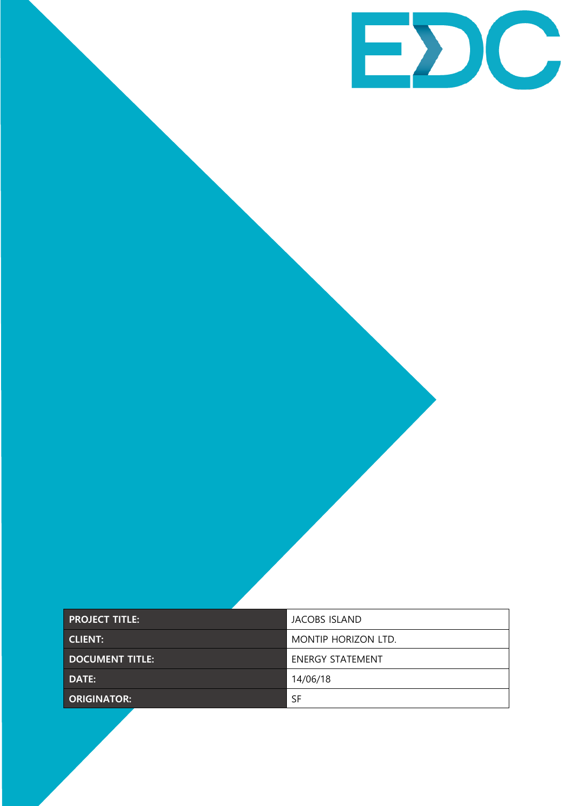

| <b>PROJECT TITLE:</b>  | <b>JACOBS ISLAND</b>    |
|------------------------|-------------------------|
| <b>CLIENT:</b>         | MONTIP HORIZON LTD.     |
| <b>DOCUMENT TITLE:</b> | <b>ENERGY STATEMENT</b> |
| DATE:                  | 14/06/18                |
| <b>ORIGINATOR:</b>     | <b>SF</b>               |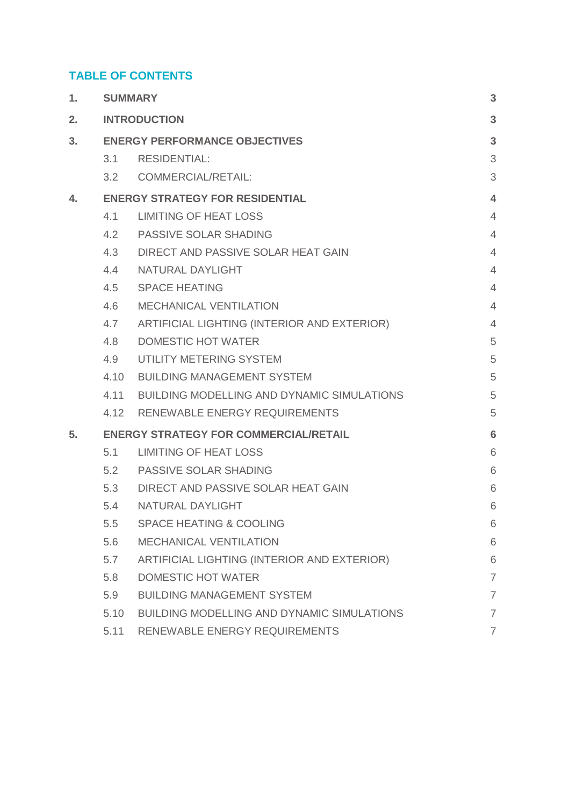# **TABLE OF CONTENTS**

| 1. |                                              | <b>SUMMARY</b>                                    |                |
|----|----------------------------------------------|---------------------------------------------------|----------------|
| 2. |                                              | <b>INTRODUCTION</b>                               | 3              |
| 3. |                                              | <b>ENERGY PERFORMANCE OBJECTIVES</b>              |                |
|    | 3.1                                          | <b>RESIDENTIAL:</b>                               | 3              |
|    | 3.2                                          | <b>COMMERCIAL/RETAIL:</b>                         | 3              |
| 4. |                                              | <b>ENERGY STRATEGY FOR RESIDENTIAL</b>            |                |
|    | 4.1                                          | <b>LIMITING OF HEAT LOSS</b>                      | $\overline{4}$ |
|    | 4.2                                          | <b>PASSIVE SOLAR SHADING</b>                      | $\overline{4}$ |
|    | 4.3                                          | DIRECT AND PASSIVE SOLAR HEAT GAIN                | $\overline{4}$ |
|    | 4.4                                          | NATURAL DAYLIGHT                                  | $\overline{4}$ |
|    | 4.5                                          | <b>SPACE HEATING</b>                              | $\overline{4}$ |
|    | 4.6                                          | <b>MECHANICAL VENTILATION</b>                     | $\overline{4}$ |
|    | 4.7                                          | ARTIFICIAL LIGHTING (INTERIOR AND EXTERIOR)       | $\overline{4}$ |
|    | 4.8                                          | <b>DOMESTIC HOT WATER</b>                         | 5              |
|    | 4.9                                          | UTILITY METERING SYSTEM                           | 5              |
|    | 4.10                                         | <b>BUILDING MANAGEMENT SYSTEM</b>                 | 5              |
|    | 4.11                                         | BUILDING MODELLING AND DYNAMIC SIMULATIONS        | 5              |
|    |                                              | 4.12 RENEWABLE ENERGY REQUIREMENTS                | 5              |
| 5. | <b>ENERGY STRATEGY FOR COMMERCIAL/RETAIL</b> |                                                   | 6              |
|    | 5.1                                          | <b>LIMITING OF HEAT LOSS</b>                      | 6              |
|    | 5.2                                          | <b>PASSIVE SOLAR SHADING</b>                      | 6              |
|    | 5.3                                          | DIRECT AND PASSIVE SOLAR HEAT GAIN                | 6              |
|    | 5.4                                          | NATURAL DAYLIGHT                                  | 6              |
|    | 5.5                                          | <b>SPACE HEATING &amp; COOLING</b>                | 6              |
|    | 5.6                                          | <b>MECHANICAL VENTILATION</b>                     | 6              |
|    | 5.7                                          | ARTIFICIAL LIGHTING (INTERIOR AND EXTERIOR)       | 6              |
|    | 5.8                                          | <b>DOMESTIC HOT WATER</b>                         | $\overline{7}$ |
|    | 5.9                                          | <b>BUILDING MANAGEMENT SYSTEM</b>                 | $\overline{7}$ |
|    | 5.10                                         | <b>BUILDING MODELLING AND DYNAMIC SIMULATIONS</b> | $\overline{7}$ |
|    | 5.11                                         | RENEWABLE ENERGY REQUIREMENTS                     | $\overline{7}$ |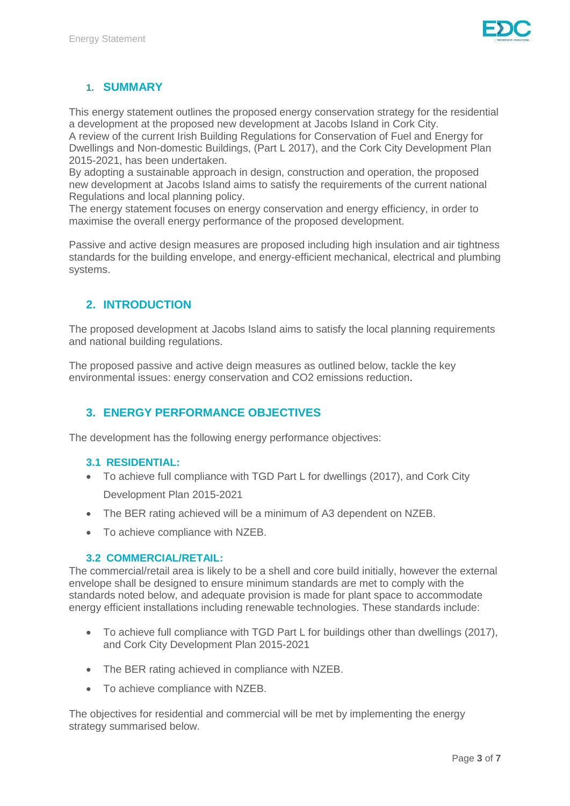

# <span id="page-2-0"></span>**1. SUMMARY**

This energy statement outlines the proposed energy conservation strategy for the residential a development at the proposed new development at Jacobs Island in Cork City.

A review of the current Irish Building Regulations for Conservation of Fuel and Energy for Dwellings and Non-domestic Buildings, (Part L 2017), and the Cork City Development Plan 2015-2021, has been undertaken.

By adopting a sustainable approach in design, construction and operation, the proposed new development at Jacobs Island aims to satisfy the requirements of the current national Regulations and local planning policy.

The energy statement focuses on energy conservation and energy efficiency, in order to maximise the overall energy performance of the proposed development.

Passive and active design measures are proposed including high insulation and air tightness standards for the building envelope, and energy-efficient mechanical, electrical and plumbing systems.

# <span id="page-2-1"></span>**2. INTRODUCTION**

The proposed development at Jacobs Island aims to satisfy the local planning requirements and national building regulations.

The proposed passive and active deign measures as outlined below, tackle the key environmental issues: energy conservation and CO2 emissions reduction.

# <span id="page-2-2"></span>**3. ENERGY PERFORMANCE OBJECTIVES**

The development has the following energy performance objectives:

#### <span id="page-2-3"></span>**3.1 RESIDENTIAL:**

- To achieve full compliance with TGD Part L for dwellings (2017), and Cork City Development Plan 2015-2021
- The BER rating achieved will be a minimum of A3 dependent on NZEB.
- To achieve compliance with NZEB.

#### <span id="page-2-4"></span>**3.2 COMMERCIAL/RETAIL:**

The commercial/retail area is likely to be a shell and core build initially, however the external envelope shall be designed to ensure minimum standards are met to comply with the standards noted below, and adequate provision is made for plant space to accommodate energy efficient installations including renewable technologies. These standards include:

- To achieve full compliance with TGD Part L for buildings other than dwellings (2017), and Cork City Development Plan 2015-2021
- The BER rating achieved in compliance with NZEB.
- To achieve compliance with NZEB.

The objectives for residential and commercial will be met by implementing the energy strategy summarised below.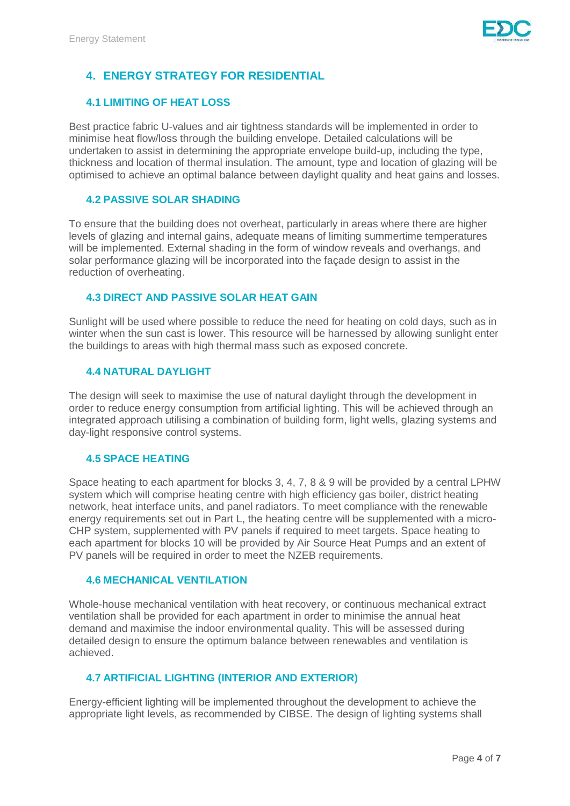

# <span id="page-3-0"></span>**4. ENERGY STRATEGY FOR RESIDENTIAL**

## <span id="page-3-1"></span>**4.1 LIMITING OF HEAT LOSS**

Best practice fabric U-values and air tightness standards will be implemented in order to minimise heat flow/loss through the building envelope. Detailed calculations will be undertaken to assist in determining the appropriate envelope build-up, including the type, thickness and location of thermal insulation. The amount, type and location of glazing will be optimised to achieve an optimal balance between daylight quality and heat gains and losses.

#### <span id="page-3-2"></span>**4.2 PASSIVE SOLAR SHADING**

To ensure that the building does not overheat, particularly in areas where there are higher levels of glazing and internal gains, adequate means of limiting summertime temperatures will be implemented. External shading in the form of window reveals and overhangs, and solar performance glazing will be incorporated into the façade design to assist in the reduction of overheating.

#### <span id="page-3-3"></span>**4.3 DIRECT AND PASSIVE SOLAR HEAT GAIN**

Sunlight will be used where possible to reduce the need for heating on cold days, such as in winter when the sun cast is lower. This resource will be harnessed by allowing sunlight enter the buildings to areas with high thermal mass such as exposed concrete.

#### <span id="page-3-4"></span>**4.4 NATURAL DAYLIGHT**

The design will seek to maximise the use of natural daylight through the development in order to reduce energy consumption from artificial lighting. This will be achieved through an integrated approach utilising a combination of building form, light wells, glazing systems and day-light responsive control systems.

#### <span id="page-3-5"></span>**4.5 SPACE HEATING**

Space heating to each apartment for blocks 3, 4, 7, 8 & 9 will be provided by a central LPHW system which will comprise heating centre with high efficiency gas boiler, district heating network, heat interface units, and panel radiators. To meet compliance with the renewable energy requirements set out in Part L, the heating centre will be supplemented with a micro-CHP system, supplemented with PV panels if required to meet targets. Space heating to each apartment for blocks 10 will be provided by Air Source Heat Pumps and an extent of PV panels will be required in order to meet the NZEB requirements.

#### <span id="page-3-6"></span>**4.6 MECHANICAL VENTILATION**

Whole-house mechanical ventilation with heat recovery, or continuous mechanical extract ventilation shall be provided for each apartment in order to minimise the annual heat demand and maximise the indoor environmental quality. This will be assessed during detailed design to ensure the optimum balance between renewables and ventilation is achieved.

#### <span id="page-3-7"></span>**4.7 ARTIFICIAL LIGHTING (INTERIOR AND EXTERIOR)**

Energy-efficient lighting will be implemented throughout the development to achieve the appropriate light levels, as recommended by CIBSE. The design of lighting systems shall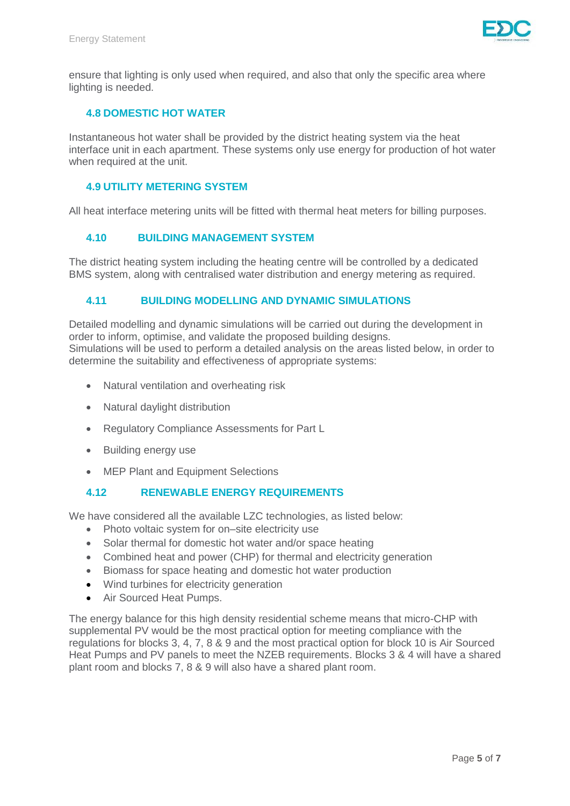

ensure that lighting is only used when required, and also that only the specific area where lighting is needed.

## <span id="page-4-0"></span>**4.8 DOMESTIC HOT WATER**

Instantaneous hot water shall be provided by the district heating system via the heat interface unit in each apartment. These systems only use energy for production of hot water when required at the unit.

#### <span id="page-4-1"></span>**4.9 UTILITY METERING SYSTEM**

All heat interface metering units will be fitted with thermal heat meters for billing purposes.

#### <span id="page-4-2"></span>**4.10 BUILDING MANAGEMENT SYSTEM**

The district heating system including the heating centre will be controlled by a dedicated BMS system, along with centralised water distribution and energy metering as required.

#### <span id="page-4-3"></span>**4.11 BUILDING MODELLING AND DYNAMIC SIMULATIONS**

Detailed modelling and dynamic simulations will be carried out during the development in order to inform, optimise, and validate the proposed building designs. Simulations will be used to perform a detailed analysis on the areas listed below, in order to determine the suitability and effectiveness of appropriate systems:

- Natural ventilation and overheating risk
- Natural daylight distribution
- Regulatory Compliance Assessments for Part L
- Building energy use
- MEP Plant and Equipment Selections

#### <span id="page-4-4"></span>**4.12 RENEWABLE ENERGY REQUIREMENTS**

We have considered all the available LZC technologies, as listed below:

- Photo voltaic system for on–site electricity use
- Solar thermal for domestic hot water and/or space heating
- Combined heat and power (CHP) for thermal and electricity generation
- Biomass for space heating and domestic hot water production
- Wind turbines for electricity generation
- Air Sourced Heat Pumps.

The energy balance for this high density residential scheme means that micro-CHP with supplemental PV would be the most practical option for meeting compliance with the regulations for blocks 3, 4, 7, 8 & 9 and the most practical option for block 10 is Air Sourced Heat Pumps and PV panels to meet the NZEB requirements. Blocks 3 & 4 will have a shared plant room and blocks 7, 8 & 9 will also have a shared plant room.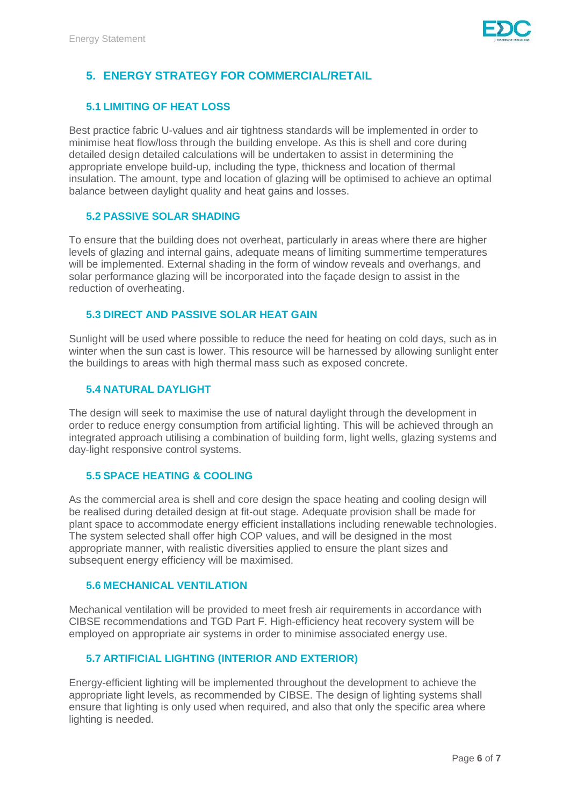

# <span id="page-5-0"></span>**5. ENERGY STRATEGY FOR COMMERCIAL/RETAIL**

# <span id="page-5-1"></span>**5.1 LIMITING OF HEAT LOSS**

Best practice fabric U-values and air tightness standards will be implemented in order to minimise heat flow/loss through the building envelope. As this is shell and core during detailed design detailed calculations will be undertaken to assist in determining the appropriate envelope build-up, including the type, thickness and location of thermal insulation. The amount, type and location of glazing will be optimised to achieve an optimal balance between daylight quality and heat gains and losses.

## <span id="page-5-2"></span>**5.2 PASSIVE SOLAR SHADING**

To ensure that the building does not overheat, particularly in areas where there are higher levels of glazing and internal gains, adequate means of limiting summertime temperatures will be implemented. External shading in the form of window reveals and overhangs, and solar performance glazing will be incorporated into the façade design to assist in the reduction of overheating.

## <span id="page-5-3"></span>**5.3 DIRECT AND PASSIVE SOLAR HEAT GAIN**

Sunlight will be used where possible to reduce the need for heating on cold days, such as in winter when the sun cast is lower. This resource will be harnessed by allowing sunlight enter the buildings to areas with high thermal mass such as exposed concrete.

## <span id="page-5-4"></span>**5.4 NATURAL DAYLIGHT**

The design will seek to maximise the use of natural daylight through the development in order to reduce energy consumption from artificial lighting. This will be achieved through an integrated approach utilising a combination of building form, light wells, glazing systems and day-light responsive control systems.

#### <span id="page-5-5"></span>**5.5 SPACE HEATING & COOLING**

As the commercial area is shell and core design the space heating and cooling design will be realised during detailed design at fit-out stage. Adequate provision shall be made for plant space to accommodate energy efficient installations including renewable technologies. The system selected shall offer high COP values, and will be designed in the most appropriate manner, with realistic diversities applied to ensure the plant sizes and subsequent energy efficiency will be maximised.

#### <span id="page-5-6"></span>**5.6 MECHANICAL VENTILATION**

Mechanical ventilation will be provided to meet fresh air requirements in accordance with CIBSE recommendations and TGD Part F. High-efficiency heat recovery system will be employed on appropriate air systems in order to minimise associated energy use.

# <span id="page-5-7"></span>**5.7 ARTIFICIAL LIGHTING (INTERIOR AND EXTERIOR)**

Energy-efficient lighting will be implemented throughout the development to achieve the appropriate light levels, as recommended by CIBSE. The design of lighting systems shall ensure that lighting is only used when required, and also that only the specific area where lighting is needed.